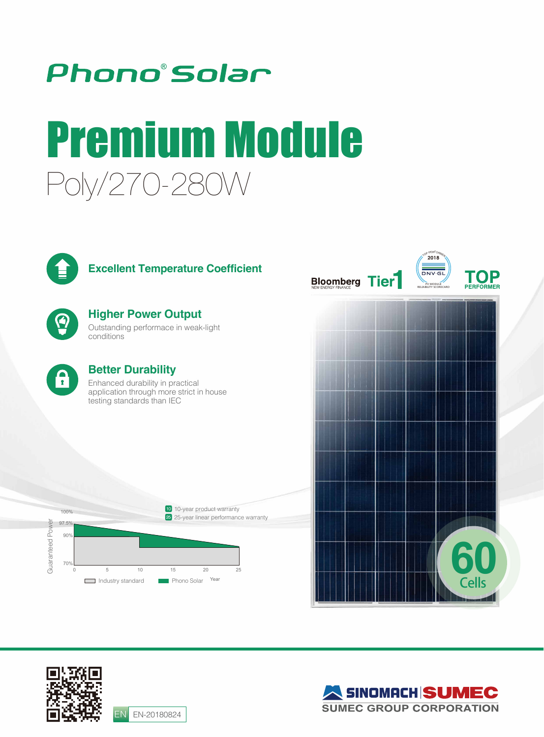

# Poly/270-280W Premium Module



## **Excellent Temperature Coefficient**

**Higher Power Output** Outstanding performace in weak-light conditions



## **Better Durability**

Enhanced durability in practical application through more strict in house testing standards than IEC